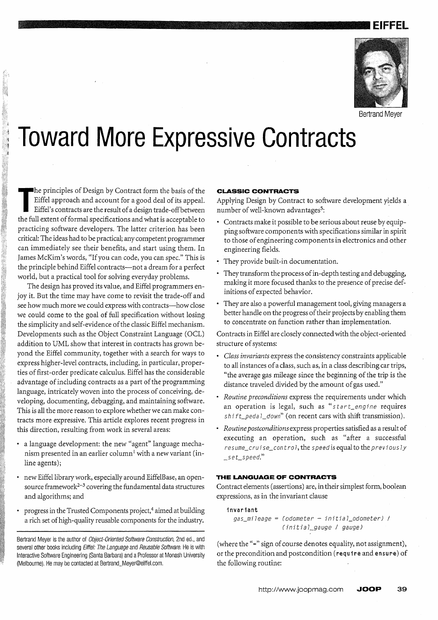# **.. ----...... \_\_ .. \_\_\_\_ .. \_\_\_\_\_ EIFFEL**



Bertrand Meyer

# **Toward More Expressive Contracts**

The principles of Design by Contract form the basis of the Eiffel approach and account for a good deal of its appeal.<br>Eiffel's contracts are the result of a design trade-off between<br>the full extent of formal specifications he principles of Design by Contract form the basis of the Eiffel approach and account for a good deal of its appeal. Eiffel's contracts are the result of a design trade-offbetween practicing software developers. The latter criterion has been critical: The ideas had to be practical; any competent programmer can immediately see their benefits, and start using them. In James McKim's words, "If you can code, you can spec." This is the principle behind Eiffel contracts-not a dream for a perfect world, but a practical tool for solving everyday problems.

The design has proved its value, and Eiffel programmers enjoy it. But the time may have come to revisit the trade-off and see how much more we could express with contracts-how close we could come to the goal of full specification without losing the simplicity and self-evidence of the classic Eiffel mechanism. Developments such as the Object Constraint Language (OCL) addition to UML show that interest in contracts has grown beyond the Eiffel community, together with a search for ways to express higher-level contracts, including, in particular, properties of first-order predicate calculus. Eiffel has the considerable advantage of including contracts as a part of the programming language, intricately woven into the process of conceiving, developing, documenting, debugging, and maintaining software. This is all the more reason to explore whether we can make contracts more expressive. This article explores recent progress in this direction, resulting from work in several areas:

- a language development: the new "agent" language mechanism presented in an earlier column<sup>1</sup> with a new variant (inline agents);
- new Eiffellibrary work, especially around EiffelBase, an opensource framework<sup> $2-3$ </sup> covering the fundamental data structures and algorithms; and
- progress in the Trusted Components project,<sup>4</sup> aimed at building a rich set of high-quality reusable components for the industry.

# **CLASSIC CONTRACTS**

Applying Design by Contract to software development yields a number of well-known advantages<sup>5</sup>:

- Contracts make it possible to be serious about reuse by equipping software components with specifications similar in spirit to those of engineering components in electronics and other engineering fields.
- They provide built-in documentation.
- They transform the process of in-depth testing and debugging, making it more focused thanks to the presence of precise definitions of expected behavior.
- They are also a powerful management tool, giving managers a better handle on the progress of their projects by enabling them to concentrate on function rather than implementation.

Contracts in Eiffel are closely connected with the object-oriented structure of systems:

- *Class invariants* express the consistency constraints applicable to all instances of a class, such as, in a class describing car trips, "the average gas mileage since the beginning of the trip is the distance traveled divided by the amount of gas used."
- *Routine preconditions* express the requirements under which an operation is legal, such as "start\_engine requires  $shift\_peda \,l\_down$ " (on recent cars with shift transmission).
- *Routine postconditionsexpress* properties satisfied as a result of executing an operation, such as "after a successful resume\_cruise\_control, the speed is equal to the previously  $\_set\_speed."$

#### **THE LANGUAGE OF CONTRACTS**

Contract elements (assertions) are, in their simplest form, boolean expressions, as in the invariant clause

invariant  $gas\_mileage = (odometer - initial\_odometer)$  / (initial\_gauge / gauge)

(where the "=" sign of course denotes equality, not assignment), or the precondition and postcondition (require and ensure) of the following routine:

Bertrand Meyer is the author of Object-Oriented Software Construction, 2nd ed., and several other books including Eiffel: The Language and Reusable Software. He is with Interactive Software Engineering (Santa Barbara) and a Professor at Monash University (Melbourne). He may be contacted at Bertrand\_Meyer@eiffel.com.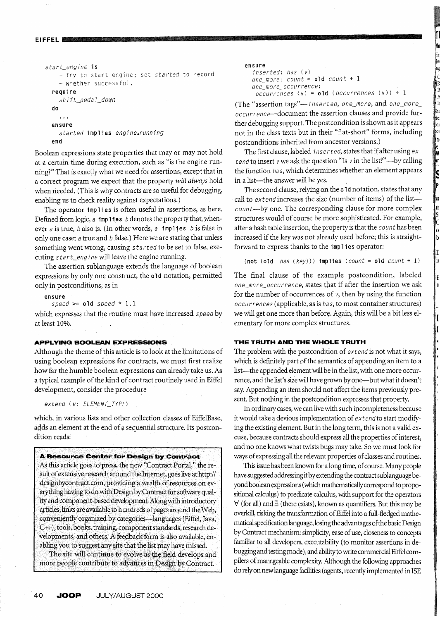```
EIFFEL in Andrew Market Literature and Andrew Market Literature and Andrew Market Literature and Andrew Market
```

```
start_engine is
     - Try to start engine; set started to record 
    - whether successful.
  require 
    shift_pedal_down 
  do 
    \sim \simensure 
    started implies engine.running 
  end
```
Boolean expressions state properties that mayor may not hold at a certain time during execution, such as "is the engine running?" That is exactly what we need for assertions, exceptthat in a correct program we expect that the property *will always* hold when needed. (This is why contracts are so useful for debugging, enabling us to check reality against expectations.)

The operator implies is often useful in assertions, as here. Defined from logic,  $a$  implies b denotes the property that, whenever *a* is true, *b* also *is.* (In other words, *a* imp 11 es *b* is false in only one case; a true and *b* false.) Here we are stating that unless something went wrong, causing *5 ta rted* to be set to false, executing 5 *tart\_engi ne* will leave the engine running.

The assertion sublanguage extends the language of boolean expressions by only one construct, the old notation, permitted only in postconditions, as in

ensure

*speed* >= old *speed* \* 1.1

which expresses that the routine must have increased *speed* by at least 10%.

# **APPLYING BOOLEAN EXPRESSIONS**

Although the theme of this article is to look at the limitations of using boolean expressions for contracts, we must first realize how far the humble boolean expressions can already take us. As a typical example of the kind of contract routinely used in Eiffel development, consider the procedure

#### *extend (v: ELEMENT\_TYPE)*

which, in various lists and other collection classes of EiffelBase, adds an element at the end of a sequential structure, Its postcondition reads:

**A Resource Center for Design by Contract** As this article goes to press, the new "Contract Portal," the result of extensive research around the Internet, goes live at http:// designbycontract.com, providing a wealth of resources on everything having to do with Design by Contract for software quality and component-based development. Along with introductory articles, links are available to hundreds of pages around the Web, conveniently organized by categories--languages (Eiffel, Java, C++), tools, books, training, component standards, research developments, and others. A feedback form is also available, enabling you to suggest any site that the list may have missed.

The site will continue to eyolve as the field develops and more people contribute to advances in Design by Contract.

ensure

```
inserted: has (v) 
one_more: count = old count + 1 
one_more_occu r rence: 
occurrences (v) = old (occurrences (v)) + 1
```
 $\overline{\phantom{a}}$ R R A II ac 'e' y, ע,

t( S ( o b

I II

(The "assertion tags"-inserted, one\_more, and one\_more\_ *occurrence-document* the assertion clauses and provide further debugging support. The postcondition is shown as it appears not in the class texts but in their "flat-short" forms, including postconditions inherited from ancestor versions.)

The first clause, labeled *inserted,* states that if after using *extend* to insert *v* we ask the question "Is *v* in the list?"—by calling the function *ha* 5, which determines whether an element appears in a list-the answer will be yes.

The second clause, relying on the old notation, states that any . call to *extend* increases the size (number of items) of the list*count-by* one. The corresponding clause for more complex structures would of course be more sophisticated. For example, after a hash table insertion, the property is that the *count* has been increased if the key was not already used before; this is straightforward to express thanks to the implies operator:

(not (old *has (key)))* implies *(count* = old *count* + 1)

The final clause of the example postcondition, labeled *one\_mare\_occurrence,* states that if after the insertion we ask for the number of occurrences of *v,* tben by using the function *occurrences* (applicable, as is *ha* 5, to most container structures) we will get one more than before. Again, this will be a bit less elementary for more complex structures.

# **THE TRUTH AND THE WHOLE TRUTH**

The problem with the postcondition of *extend* is not what it says, which is definitely part of the semantics of appending an item to a list-the appended element will be in the list, with one more occurrence, and the list's size will have grown by one—but what it doesn't say. Appending an item should not affect the items previously present. But nothing in the postcondition expresses that property.

In ordinary cases, we can live with such incompleteness because it would take a devious implementation of *extend* to start modifying the existing element. But in the long term, this is not a valid excuse, because contracts should express all the properties of interest, and no one knows what twists bugs may take. So we must look for ways of expressing all the relevant properties of classes and routines.

This issue has been known for a long time, of course. Many people have suggested addressing it by extending the contract sublanguage beyond boolean expressions (which mathematically correspond to propositional calculus) to predicate calculus, with support for the operators  $\forall$  (for all) and  $\exists$  (there exists), known as quantifiers. But this may be overkill, risking the transformation of Eiffel into a full-fledged mathematical specification language, losing the advantages of the basic Design by Contract mechanism: simplicity, ease of use, closeness to concepts familiar to all developers, executability (to monitor assertions in debugging and testing mode), and ability to write commercial Eiffel compilers of manageable complexity. Although the following approaches do rely on new language facilities (agents, recently implemented in ISE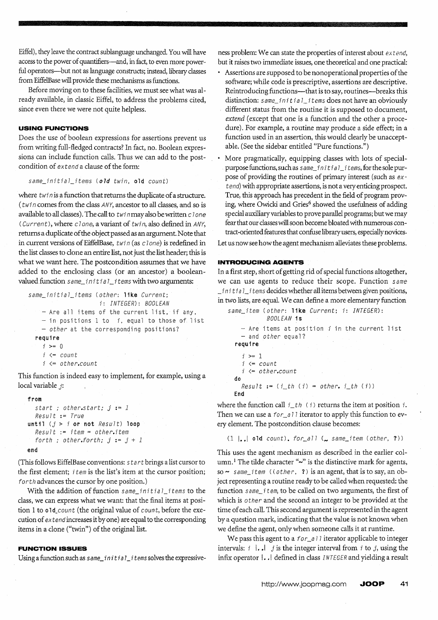Eiffel), they leave the contract sublanguage unchanged. You will have access to the power of quantifiers-and, in fact, to even more powerful operators-but not as language constructs; instead, library classes from EiffelBase will provide these mechanisms as functions.

Before moving on to these facilities, we must see what was already available, in classic Eiffel, to address the problems cited, since even there we were not quite helpless.

## **USING FUNCTIONS**

Does the use of boolean expressions for assertions prevent us from writing full-fledged contracts? In fact, no. Boolean expressions can include function calls. Thus we can add to the postcondition of extend a clause of the form:

same\_initial\_items (old twin, old count)

where  $twin$  is a function that returns the duplicate of a structure. (twi *n* comes from the class ANY, ancestor to all classes, and so is available to all classes). The call to  $twin$  may also be written c 1 one (Current), where  $c$ lone, a variant of twin, also defined in ANY, returns a duplicate of the object passed as an argument. Note that in current versions of EiffelBase, twin (as clone) is redefined in the list classes to clone an entire list, not just the list header; this is what we want here. The postcondition assumes that we have added to the enclosing class (or an ancestor) a booleanvalued function  $same\_initial\_items$  with two arguments:

```
same_initial_items (other: like Current;
                      i: INTEGER): BOOLEAN 
   - Are all items of the current list, if any,
    - in positions 1 to i. equal to those of list 
    - other at the corresponding positions?
  require 
    i >= 0 
    i \leftarrow counti \leftarrow other.count
```
This function is indeed easy to implement, for example, using a local variable *j:* 

#### from

```
start ; other.start; j := 1Result := True 
until (j > i or not Result) loop
  Result := item = other.itemforth ; other.forth; j := j + 1end
```
(This follows EiffelBase conventions: s tar t brings a list cursor to the first element; *item* is the list's item at the cursor position; for th advances the cursor by one position.)

With the addition of function same\_initial\_items to the class, we can express what we want: that the final items at position 1 to old\_count (the original value of count, before the execution of extend increases it by one) are equal to the corresponding items in a clone ("twin") of the original list.

# **FUNCTION ISSUES**

Using a function such as  $same\_initial\_items$  solves the expressive-

ness problem: We can state the properties of interest about extend, but it raises two immediate issues, one theoretical and one practical:

- Assertions are supposed to be nonoperational properties of the software; while code is prescriptive, assertions are descriptive. Reintroducing functions---that is to say, routines---breaks this distinction: same\_initial\_items does not have an obviously different status from the routine it is supposed to document, *extend* (except that one is a function and the other a procedure). For example, a routine may produce a side effect; in a function used in an assertion, this would clearly be unacceptable. (See the sidebar entitled "Pure functions.")
- More pragmatically, equipping classes with lots of specialpurpose functions, such as same\_initial\_items, for the sole purpose of providing the routines of primary interest (such as ext end) with appropriate assertions, is not a very enticing prospect. True, this approach has precedent in the field of program proving, where Owicki and Gries<sup>6</sup> showed the usefulness of adding special auxiliary variables to prove parallel programs; but we may fear that our classes will soon become bloated with numerous contract -oriented features that confuse library users, especially novices.

Let us now see how the agent mechanism alleviates these problems.

# **INTRODUCING AGENTS**

In a first step, short of getting rid of special functions altogether, we can use agents to reduce their scope. Function same  $\_initial\_i$  tems decides whether all items between given positions, in two lists, are equaL We can define a more elementary function

```
same_item (other: like Current; i: INTEGER):
           BOOLEAN is 
   - Are items at position i in the current list 
   - and other equal?
 require 
    i > = 1i \le count
   i <= other.count 
 do 
   Result := (i_t h(i) = other, i_t h(i))End
```
where the function call  $i_t$  (i) returns the item at position i. Then we can use a  $for\_a$  11 iterator to apply this function to every element. The postcondition clause becomes:

# $(1 \mid . \mid$  old count). for all  $($  same item (other, ?))

This uses the agent mechanism as described in the earlier column.<sup>1</sup> The tilde character "~" is the distinctive mark for agents, so  $\sim$  same\_item ((other, ?) is an agent, that is to say, an object representing a routine ready to be called when requested: the function same\_ $i$  tem, to be called on two arguments, the first of which is other and the second an integer to be provided at the time of each call. This second argument is represented in the agent by a question mark, indicating that the value is not known when we define the agent, only when someone calls it at runtime.

We pass this agent to a  $for\_a 11$  iterator applicable to integer intervals:  $i \mid . \cdot \mid j$  is the integer interval from  $i$  to  $j$ , using the infix operator  $| \cdot \cdot |$  defined in class *INTEGER* and yielding a result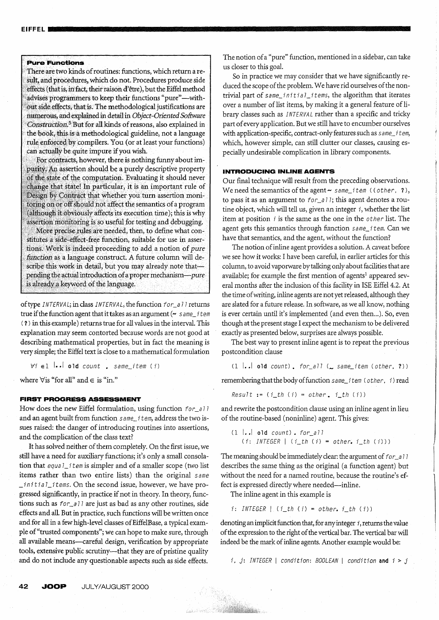#### **Pure Functions**

There are two kinds of routines: functions, which return a result, and procedures, which do not. Procedures produce side effects (that is, in fact, their raison d'être), but the Eiffel method advises programmers to keep their functions "pure"-without side effects, that is. The methodological justifications are numerous, and explained in detail in Object-Oriented Software Construction.<sup>5</sup> But for all kinds of reasons, also explained in the book, this is a methodological guideline, not a language rule enforced by compilers. You (or at least your functions) can actually be quite impure if you wish.

For contracts, however, there is nothing funny about impurity. An assertion should be a purely descriptive property of the state of the computation. Evaluating it should never change that state! In particular, it is an important rule of Design by Contract that whether you turn assertion monitoring on or off should not affect the semantics of a program (although it obviously affects its execution time); this is why assertion monitoring is so useful for testing and debugging. More precise rules are needed, then, to define what constitutes a side-effect-free function, suitable for use in assertions. Work is indeed proceeding to add a notion of pure function as a language construct. A future column will describe this work in detail, but you may already note thatpending the actual introduction of a proper mechanism-pure is already a keyword of the language.

of type INTERVAL; in class INTERVAL, the function for\_all returns true if the function agent that it takes as an argument ( $\sim$  same\_item (?) in this example) returns true for all values in the interval. This explanation may seem contorted because words are not good at describing mathematical properties, but in fact the meaning is very simple; the Eiffel text is close to a mathematical formulation

 $\forall i \in \mathbb{1}$  ... old count . same\_item (i)

where  $\forall$  is "for all" and  $\in$  is "in."

#### **FIRST PROGRESS ASSESSMENT**

How does the new Eiffel formulation, using function for\_all and an agent built from function same\_item, address the two issues raised: the danger of introducing routines into assertions, and the complication of the class text?

It has solved neither of them completely. On the first issue, we still have a need for auxiliary functions; it's only a small consolation that equal\_item is simpler and of a smaller scope (two list items rather than two entire lists) than the original same \_initial\_items. On the second issue, however, we have progressed significantly, in practice if not in theory. In theory, functions such as  $for\_all$  are just as bad as any other routines, side effects and all. But in practice, such functions will be written once and for all in a few high-level classes of EiffelBase, a typical example of "trusted components"; we can hope to make sure, through all available means-careful design, verification by appropriate tools, extensive public scrutiny-that they are of pristine quality and do not include any questionable aspects such as side effects.

The notion of a "pure" function, mentioned in a sidebar, can take us closer to this goal.

So in practice we may consider that we have significantly reduced the scope of the problem. We have rid ourselves of the nontrivial part of same\_initial\_items, the algorithm that iterates over a number of list items, by making it a general feature of library classes such as INTERVAL rather than a specific and tricky part of every application. But we still have to encumber ourselves with application-specific, contract-only features such as same\_item, which, however simple, can still clutter our classes, causing especially undesirable complication in library components.

# **INTRODUCING INLINE AGENTS**

Our final technique will result from the preceding observations. We need the semantics of the agent  $\sim$  same\_item ((other, ?), to pass it as an argument to  $for\_all$ ; this agent denotes a routine object, which will tell us, given an integer  $i$ , whether the list item at position  $i$  is the same as the one in the  $other$  list. The agent gets this semantics through function same\_item. Can we have that semantics, and the agent, without the function?

The notion of inline agent provides a solution. A caveat before we see how it works: I have been careful, in earlier articles for this column, to avoid vaporware by talking only about facilities that are available; for example the first mention of agents<sup>1</sup> appeared several months after the inclusion of this facility in ISE Eiffel 4.2. At the time of writing, inline agents are not yet released, although they are slated for a future release. In software, as we all know, nothing is ever certain until it's implemented (and even then...). So, even though at the present stage I expect the mechanism to be delivered exactly as presented below, surprises are always possible.

The best way to present inline agent is to repeat the previous postcondition clause

 $(1 \text{ } . . . . . )$  old count). for all  $($  same\_item (other, ?))

remembering that the body of function same\_item (other, i) read

 $Result := (i_t h(i) = other, i_t h(i))$ 

and rewrite the postcondition clause using an inline agent in lieu of the routine-based (noninline) agent. This gives:

$$
(1 | . . | 01d count) . for_all
$$
  

$$
(i : INTEGR | (i th (i) = other, i th (i)))
$$

The meaning should be immediately clear: the argument of for\_all describes the same thing as the original (a function agent) but without the need for a named routine, because the routine's effect is expressed directly where needed--inline.

The inline agent in this example is

A SAN TANA

 $i: INTEGR \mid (i_th (i) = other, i_th (i))$ 

denoting an implicit function that, for any integer  $i$ , returns the value of the expression to the right of the vertical bar. The vertical bar will indeed be the mark of inline agents. Another example would be:

i, j: INTEGER | condition: BOOLEAN | condition and  $i > j$